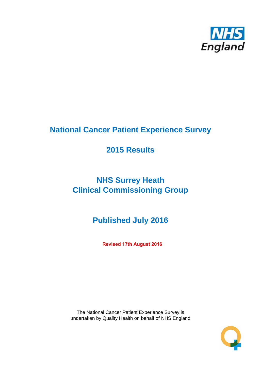

# **National Cancer Patient Experience Survey**

# **2015 Results**

# **NHS Surrey Heath Clinical Commissioning Group**

# **Published July 2016**

**Revised 17th August 2016**

The National Cancer Patient Experience Survey is undertaken by Quality Health on behalf of NHS England

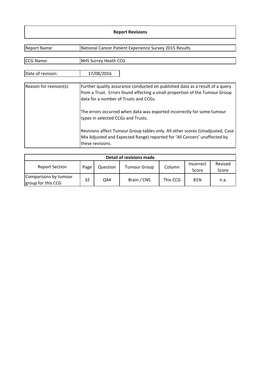#### **Report Revisions**

| <b>Report Name:</b>     | National Cancer Patient Experience Survey 2015 Results                                                                                                                                               |
|-------------------------|------------------------------------------------------------------------------------------------------------------------------------------------------------------------------------------------------|
| CCG Name:               | <b>NHS Surrey Heath CCG</b>                                                                                                                                                                          |
| Date of revision:       | 17/08/2016                                                                                                                                                                                           |
| Reason for revision(s): | Further quality assurance conducted on published data as a result of a query<br>from a Trust. Errors found affecting a small proportion of the Tumour Group<br>data for a number of Trusts and CCGs. |
|                         | The errors occurred when data was exported incorrectly for some tumour<br>types in selected CCGs and Trusts.                                                                                         |
|                         | Revisions affect Tumour Group tables only. All other scores (Unadjusted, Case<br>Mix Adjusted and Expected Range) reported for 'All Cancers' unaffected by<br>these revisions.                       |

| <b>Detail of revisions made</b>             |      |          |                     |          |                    |                  |  |  |  |  |
|---------------------------------------------|------|----------|---------------------|----------|--------------------|------------------|--|--|--|--|
| <b>Report Section</b>                       | Page | Question | <b>Tumour Group</b> | Column   | Incorrect<br>Score | Revised<br>Score |  |  |  |  |
| Comparisons by tumour<br>group for this CCG | 32   | Q44      | Brain / CNS         | This CCG | 81%                | n.a.             |  |  |  |  |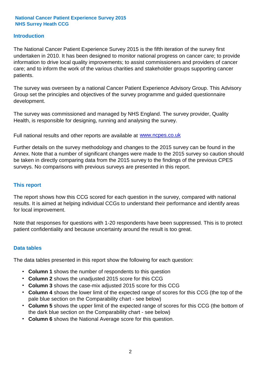#### **Introduction**

The National Cancer Patient Experience Survey 2015 is the fifth iteration of the survey first undertaken in 2010. It has been designed to monitor national progress on cancer care; to provide information to drive local quality improvements; to assist commissioners and providers of cancer care; and to inform the work of the various charities and stakeholder groups supporting cancer patients.

The survey was overseen by a national Cancer Patient Experience Advisory Group. This Advisory Group set the principles and objectives of the survey programme and guided questionnaire development.

The survey was commissioned and managed by NHS England. The survey provider, Quality Health, is responsible for designing, running and analysing the survey.

Full national results and other reports are available at www.ncpes.co.uk

Further details on the survey methodology and changes to the 2015 survey can be found in the Annex. Note that a number of significant changes were made to the 2015 survey so caution should be taken in directly comparing data from the 2015 survey to the findings of the previous CPES surveys. No comparisons with previous surveys are presented in this report.

#### **This report**

The report shows how this CCG scored for each question in the survey, compared with national results. It is aimed at helping individual CCGs to understand their performance and identify areas for local improvement.

Note that responses for questions with 1-20 respondents have been suppressed. This is to protect patient confidentiality and because uncertainty around the result is too great.

#### **Data tables**

The data tables presented in this report show the following for each question:

- **Column 1** shows the number of respondents to this question
- **Column 2** shows the unadjusted 2015 score for this CCG
- **Column 3** shows the case-mix adjusted 2015 score for this CCG
- **Column 4** shows the lower limit of the expected range of scores for this CCG (the top of the pale blue section on the Comparability chart - see below)
- **Column 5** shows the upper limit of the expected range of scores for this CCG (the bottom of the dark blue section on the Comparability chart - see below)
- **Column 6** shows the National Average score for this question.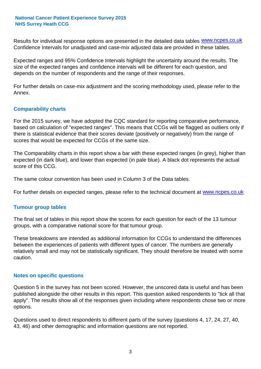Results for individual response options are presented in the detailed data tables **WWW.ncpes.co.uk** Confidence Intervals for unadjusted and case-mix adjusted data are provided in these tables.

Expected ranges and 95% Confidence Intervals highlight the uncertainty around the results. The size of the expected ranges and confidence intervals will be different for each question, and depends on the number of respondents and the range of their responses.

For further details on case-mix adjustment and the scoring methodology used, please refer to the Annex.

#### **Comparability charts**

For the 2015 survey, we have adopted the CQC standard for reporting comparative performance, based on calculation of "expected ranges". This means that CCGs will be flagged as outliers only if there is statistical evidence that their scores deviate (positively or negatively) from the range of scores that would be expected for CCGs of the same size.

The Comparability charts in this report show a bar with these expected ranges (in grey), higher than expected (in dark blue), and lower than expected (in pale blue). A black dot represents the actual score of this CCG.

The same colour convention has been used in Column 3 of the Data tables.

For further details on expected ranges, please refer to the technical document at **www.ncpes.co.uk** 

#### **Tumour group tables**

The final set of tables in this report show the scores for each question for each of the 13 tumour groups, with a comparative national score for that tumour group.

These breakdowns are intended as additional information for CCGs to understand the differences between the experiences of patients with different types of cancer. The numbers are generally relatively small and may not be statistically significant. They should therefore be treated with some caution.

#### **Notes on specific questions**

Question 5 in the survey has not been scored. However, the unscored data is useful and has been published alongside the other results in this report. This question asked respondents to "tick all that apply". The results show all of the responses given including where respondents chose two or more options.

Questions used to direct respondents to different parts of the survey (questions 4, 17, 24, 27, 40, 43, 46) and other demographic and information questions are not reported.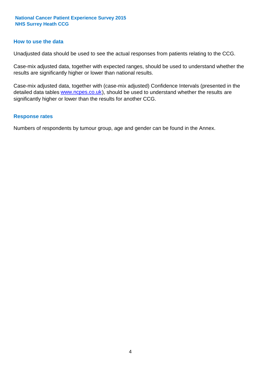#### **How to use the data**

Unadjusted data should be used to see the actual responses from patients relating to the CCG.

Case-mix adjusted data, together with expected ranges, should be used to understand whether the results are significantly higher or lower than national results.

Case-mix adjusted data, together with (case-mix adjusted) Confidence Intervals (presented in the detailed data tables **www.ncpes.co.uk**), should be used to understand whether the results are significantly higher or lower than the results for another CCG.

#### **Response rates**

Numbers of respondents by tumour group, age and gender can be found in the Annex.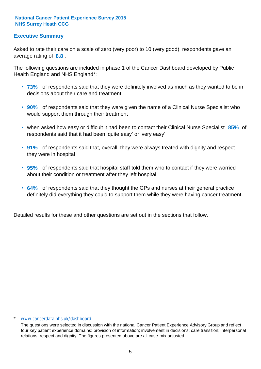#### **Executive Summary**

average rating of **8.8**. Asked to rate their care on a scale of zero (very poor) to 10 (very good), respondents gave an

The following questions are included in phase 1 of the Cancer Dashboard developed by Public Health England and NHS England\*:

- **73%** of respondents said that they were definitely involved as much as they wanted to be in decisions about their care and treatment
- **90%** of respondents said that they were given the name of a Clinical Nurse Specialist who would support them through their treatment
- when asked how easy or difficult it had been to contact their Clinical Nurse Specialist 85% of respondents said that it had been 'quite easy' or 'very easy'
- **91%** of respondents said that, overall, they were always treated with dignity and respect they were in hospital
- **95%** of respondents said that hospital staff told them who to contact if they were worried about their condition or treatment after they left hospital
- **64%** of respondents said that they thought the GPs and nurses at their general practice definitely did everything they could to support them while they were having cancer treatment.

Detailed results for these and other questions are set out in the sections that follow.

#### \* www.cancerdata.nhs.uk/dashboard

The questions were selected in discussion with the national Cancer Patient Experience Advisory Group and reflect four key patient experience domains: provision of information; involvement in decisions; care transition; interpersonal relations, respect and dignity. The figures presented above are all case-mix adjusted.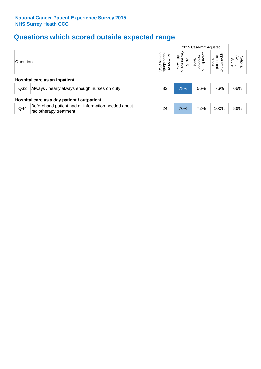# **Questions which scored outside expected range**

|                                             |                                                                               |                                                          |                                                        | 2015 Case-mix Adjusted               |                                                         |                              |  |  |  |
|---------------------------------------------|-------------------------------------------------------------------------------|----------------------------------------------------------|--------------------------------------------------------|--------------------------------------|---------------------------------------------------------|------------------------------|--|--|--|
| Question                                    |                                                                               | ior<br>respondents<br>Number<br>sins.<br>CCG<br>$\Omega$ | ୃତ<br>this<br>ਨ<br>sentage<br>is CCG<br>2015<br>Ő<br>₫ | ower limit<br>expected<br>range<br>₽ | Upper limit<br>expected<br>range<br>$\overline{\sigma}$ | National<br>Average<br>Score |  |  |  |
| Hospital care as an inpatient               |                                                                               |                                                          |                                                        |                                      |                                                         |                              |  |  |  |
| Q <sub>32</sub>                             | Always / nearly always enough nurses on duty                                  | 83                                                       | 78%                                                    | 56%                                  | 76%                                                     | 66%                          |  |  |  |
| Hospital care as a day patient / outpatient |                                                                               |                                                          |                                                        |                                      |                                                         |                              |  |  |  |
| Q44                                         | Beforehand patient had all information needed about<br>radiotherapy treatment | 24                                                       | 70%                                                    | 72%                                  | 100%                                                    | 86%                          |  |  |  |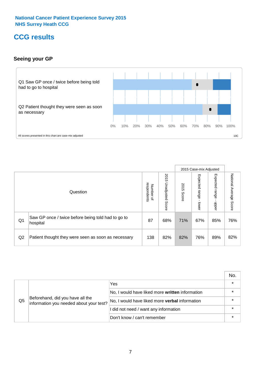### **CCG results**

#### **Seeing your GP**



|    |                                                                |                                              |                             |               |                            | 2015 Case-mix Adjusted     |                           |
|----|----------------------------------------------------------------|----------------------------------------------|-----------------------------|---------------|----------------------------|----------------------------|---------------------------|
|    | Question                                                       | respondents<br>Number<br>$\overline{\sigma}$ | 2015<br>Unadjusted<br>Score | 2015<br>Score | Expected<br>range<br>lower | Expected<br>range<br>nbber | National Average<br>Score |
| Q1 | Saw GP once / twice before being told had to go to<br>hospital | 87                                           | 68%                         | 71%           | 67%                        | 85%                        | 76%                       |
| Q2 | Patient thought they were seen as soon as necessary            | 138                                          | 82%                         | 82%           | 76%                        | 89%                        | 82%                       |

|    |                                                                             |                                                 | No. |
|----|-----------------------------------------------------------------------------|-------------------------------------------------|-----|
|    |                                                                             | Yes                                             |     |
| Q5 | Beforehand, did you have all the<br>information you needed about your test? | No, I would have liked more written information |     |
|    |                                                                             | No, I would have liked more verbal information  |     |
|    |                                                                             | I did not need / want any information           |     |
|    |                                                                             | Don't know / can't remember                     |     |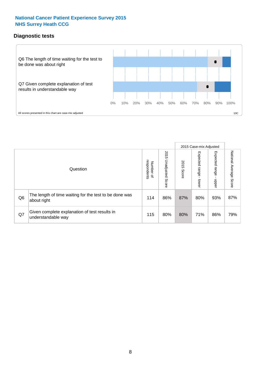#### **Diagnostic tests**



|                |                                                                       |                                   |                             |               |                         | 2015 Case-mix Adjusted  |                           |
|----------------|-----------------------------------------------------------------------|-----------------------------------|-----------------------------|---------------|-------------------------|-------------------------|---------------------------|
|                | Question                                                              | respondents<br>Number<br>$\Omega$ | 2015<br>Unadjusted<br>Score | 2015<br>Score | Expected range<br>lower | Expected range<br>nbber | National Average<br>Score |
| Q <sub>6</sub> | The length of time waiting for the test to be done was<br>about right | 114                               | 86%                         | 87%           | 80%                     | 93%                     | 87%                       |
| Q7             | Given complete explanation of test results in<br>understandable way   | 115                               | 80%                         | 80%           | 71%                     | 86%                     | 79%                       |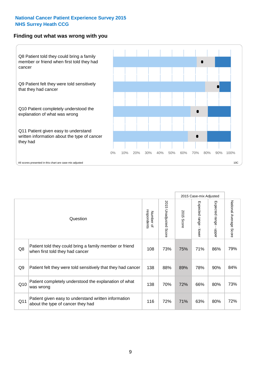#### **Finding out what was wrong with you**



|     |                                                                                            |                          |                       |               | 2015 Case-mix Adjusted |                         |                           |
|-----|--------------------------------------------------------------------------------------------|--------------------------|-----------------------|---------------|------------------------|-------------------------|---------------------------|
|     | Question                                                                                   | Number of<br>respondents | 2015 Unadjusted Score | 2015<br>Score | Expected range - lower | Expected range<br>nbber | National Average<br>Score |
| Q8  | Patient told they could bring a family member or friend<br>when first told they had cancer | 108                      | 73%                   | 75%           | 71%                    | 86%                     | 79%                       |
| Q9  | Patient felt they were told sensitively that they had cancer                               | 138                      | 88%                   | 89%           | 78%                    | 90%                     | 84%                       |
| Q10 | Patient completely understood the explanation of what<br>was wrong                         | 138                      | 70%                   | 72%           | 66%                    | 80%                     | 73%                       |
| Q11 | Patient given easy to understand written information<br>about the type of cancer they had  | 116                      | 72%                   | 71%           | 63%                    | 80%                     | 72%                       |
|     |                                                                                            |                          |                       |               |                        |                         |                           |

73%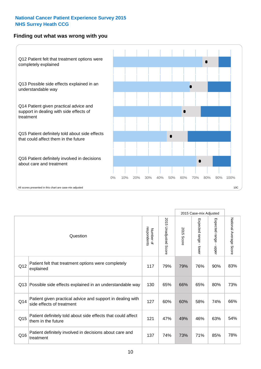#### **Finding out what was wrong with you**



|          |                                                                                         |                          |                                 | 2015 Case-mix Adjusted |                                           |                        |                        |
|----------|-----------------------------------------------------------------------------------------|--------------------------|---------------------------------|------------------------|-------------------------------------------|------------------------|------------------------|
| Question |                                                                                         | Number of<br>respondents | 2015<br><b>Unadjusted Score</b> | 2015<br>Score          | Expected range<br>$\blacksquare$<br>lower | Expected range - upper | National Average Score |
| Q12      | Patient felt that treatment options were completely<br>explained                        | 117                      | 79%                             | 79%                    | 76%                                       | 90%                    | 83%                    |
| Q13      | Possible side effects explained in an understandable way                                | 130                      | 65%                             | 66%                    | 65%                                       | 80%                    | 73%                    |
| Q14      | Patient given practical advice and support in dealing with<br>side effects of treatment | 127                      | 60%                             | 60%                    | 58%                                       | 74%                    | 66%                    |
| Q15      | Patient definitely told about side effects that could affect<br>them in the future      | 121                      | 47%                             | 49%                    | 46%                                       | 63%                    | 54%                    |
| Q16      | Patient definitely involved in decisions about care and<br>treatment                    | 137                      | 74%                             | 73%                    | 71%                                       | 85%                    | 78%                    |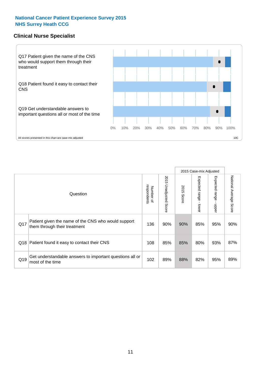#### **Clinical Nurse Specialist**



|     |                                                                                     |                          |                       |               |                         | 2015 Case-mix Adjusted     |                           |  |  |
|-----|-------------------------------------------------------------------------------------|--------------------------|-----------------------|---------------|-------------------------|----------------------------|---------------------------|--|--|
|     | Question                                                                            | respondents<br>Number of | 2015 Unadjusted Score | 2015<br>Score | Expected range<br>lower | Expected<br>range<br>nbber | National Average<br>Score |  |  |
| Q17 | Patient given the name of the CNS who would support<br>them through their treatment | 136                      | 90%                   | 90%           | 85%                     | 95%                        | 90%                       |  |  |
| Q18 | Patient found it easy to contact their CNS                                          | 108                      | 85%                   | 85%           | 80%                     | 93%                        | 87%                       |  |  |
| Q19 | Get understandable answers to important questions all or<br>most of the time        | 102                      | 89%                   | 88%           | 82%                     | 95%                        | 89%                       |  |  |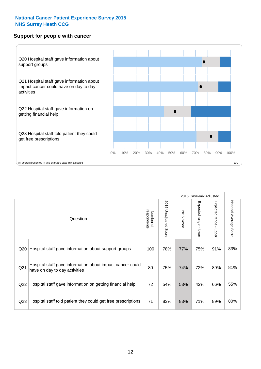#### **Support for people with cancer**



|                 |                                                                                            |                          |                                 |               | 2015 Case-mix Adjusted  |                                         |                        |
|-----------------|--------------------------------------------------------------------------------------------|--------------------------|---------------------------------|---------------|-------------------------|-----------------------------------------|------------------------|
|                 | Question                                                                                   | respondents<br>Number of | 2015<br><b>Unadjusted Score</b> | 2015<br>Score | Expected range<br>lower | Expected range<br>$\mathbf{I}$<br>nbber | National Average Score |
| Q20             | Hospital staff gave information about support groups                                       | 100                      | 78%                             | 77%           | 75%                     | 91%                                     | 83%                    |
| Q <sub>21</sub> | Hospital staff gave information about impact cancer could<br>have on day to day activities | 80                       | 75%                             | 74%           | 72%                     | 89%                                     | 81%                    |
| Q22             | Hospital staff gave information on getting financial help                                  | 72                       | 54%                             | 53%           | 43%                     | 66%                                     | 55%                    |
| Q <sub>23</sub> | Hospital staff told patient they could get free prescriptions                              | 71                       | 83%                             | 83%           | 71%                     | 89%                                     | 80%                    |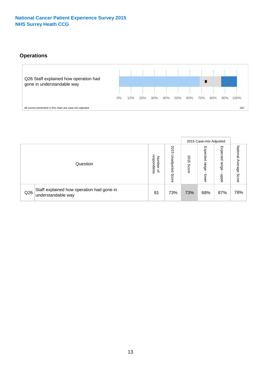### **Operations**



|     |                                                                 |                                              |                             |               |                            | 2015 Case-mix Adjusted    |                              |
|-----|-----------------------------------------------------------------|----------------------------------------------|-----------------------------|---------------|----------------------------|---------------------------|------------------------------|
|     | Question                                                        | respondents<br>Number<br>$\overline{\sigma}$ | 2015<br>Unadjusted<br>Score | 2015<br>Score | Expected<br>range<br>lower | Expected<br>range<br>dddn | National<br>Average<br>Score |
| Q26 | Staff explained how operation had gone in<br>understandable way | 81                                           | 73%                         | 73%           | 68%                        | 87%                       | 78%                          |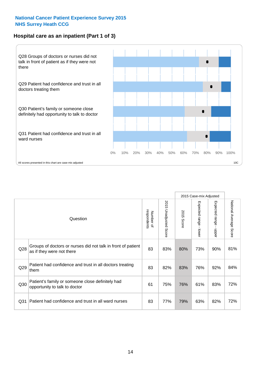#### **Hospital care as an inpatient (Part 1 of 3)**



All scores presented in this chart are case-mix adjusted  $\sim$  10C

|                 |                                                                                           |                          |                          |                      | 2015 Case-mix Adjusted                    |                                       |                        |
|-----------------|-------------------------------------------------------------------------------------------|--------------------------|--------------------------|----------------------|-------------------------------------------|---------------------------------------|------------------------|
|                 | Question                                                                                  | respondents<br>Number of | 2015<br>Unadjusted Score | 2015<br><b>Score</b> | Expected range<br>$\blacksquare$<br>lower | Expected range<br>$\mathbf{I}$<br>ddo | National Average Score |
| Q28             | Groups of doctors or nurses did not talk in front of patient<br>as if they were not there | 83                       | 83%                      | 80%                  | 73%                                       | 90%                                   | 81%                    |
| Q29             | Patient had confidence and trust in all doctors treating<br>them                          | 83                       | 82%                      | 83%                  | 76%                                       | 92%                                   | 84%                    |
| Q30             | Patient's family or someone close definitely had<br>opportunity to talk to doctor         | 61                       | 75%                      | 76%                  | 61%                                       | 83%                                   | 72%                    |
| Q <sub>31</sub> | Patient had confidence and trust in all ward nurses                                       | 83                       | 77%                      | 79%                  | 63%                                       | 82%                                   | 72%                    |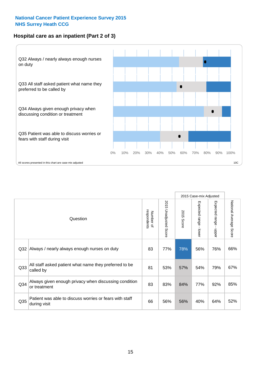#### **Hospital care as an inpatient (Part 2 of 3)**



|                                                                                |                                                                       |    |                          |               | 2015 Case-mix Adjusted |                                           |                           |
|--------------------------------------------------------------------------------|-----------------------------------------------------------------------|----|--------------------------|---------------|------------------------|-------------------------------------------|---------------------------|
| Question                                                                       |                                                                       |    | 2015 Unadjusted<br>Score | 2015<br>Score | Expected range - lower | Expected range<br>$\blacksquare$<br>hbber | National Average<br>Score |
| Q32                                                                            | Always / nearly always enough nurses on duty                          | 83 | 77%                      | 78%           | 56%                    | 76%                                       | 66%                       |
| Q33                                                                            | All staff asked patient what name they preferred to be<br>called by   | 81 | 53%                      | 57%           | 54%                    | 79%                                       | 67%                       |
| Q34                                                                            | Always given enough privacy when discussing condition<br>or treatment | 83 | 83%                      | 84%           | 77%                    | 92%                                       | 85%                       |
| Patient was able to discuss worries or fears with staff<br>Q35<br>during visit |                                                                       | 66 | 56%                      | 56%           | 40%                    | 64%                                       | 52%                       |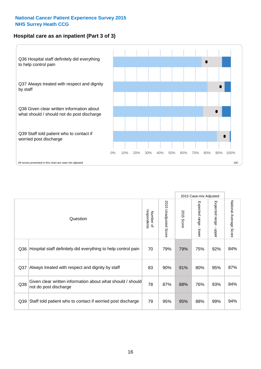#### **Hospital care as an inpatient (Part 3 of 3)**



|                 |                                                                                     |    |                          |               | 2015 Case-mix Adjusted                    |                           |                        |
|-----------------|-------------------------------------------------------------------------------------|----|--------------------------|---------------|-------------------------------------------|---------------------------|------------------------|
| Question        |                                                                                     |    | 2015<br>Unadjusted Score | 2015<br>Score | Expected range<br>$\blacksquare$<br>lower | Expected range -<br>nbber | National Average Score |
| Q36             | Hospital staff definitely did everything to help control pain                       | 70 | 79%                      | 79%           | 75%                                       | 92%                       | 84%                    |
| Q <sub>37</sub> | Always treated with respect and dignity by staff                                    |    | 90%                      | 91%           | 80%                                       | 95%                       | 87%                    |
| Q38             | Given clear written information about what should / should<br>not do post discharge | 78 | 87%                      | 88%           | 76%                                       | 93%                       | 84%                    |
| Q39             | Staff told patient who to contact if worried post discharge                         | 79 | 95%                      | 95%           | 88%                                       | 99%                       | 94%                    |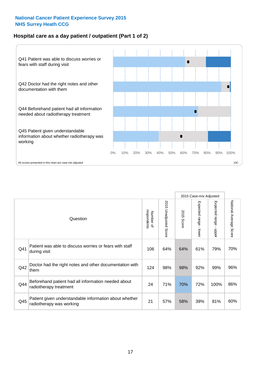#### **Hospital care as a day patient / outpatient (Part 1 of 2)**



|          |                                                                                    |     |                                 | 2015 Case-mix Adjusted |                                           |                                           |                        |
|----------|------------------------------------------------------------------------------------|-----|---------------------------------|------------------------|-------------------------------------------|-------------------------------------------|------------------------|
| Question |                                                                                    |     | 2015<br><b>Unadjusted Score</b> | 2015<br><b>Score</b>   | Expected range<br>$\blacksquare$<br>lower | Expected range<br>$\blacksquare$<br>nbber | National Average Score |
| Q41      | Patient was able to discuss worries or fears with staff<br>during visit            | 106 | 64%                             | 64%                    | 61%                                       | 79%                                       | 70%                    |
| Q42      | Doctor had the right notes and other documentation with<br>them                    | 124 | 98%                             | 98%                    | 92%                                       | 99%                                       | 96%                    |
| Q44      | Beforehand patient had all information needed about<br>radiotherapy treatment      | 24  | 71%                             | 70%                    | 72%                                       | 100%                                      | 86%                    |
| Q45      | Patient given understandable information about whether<br>radiotherapy was working | 21  | 57%                             | 58%                    | 39%                                       | 81%                                       | 60%                    |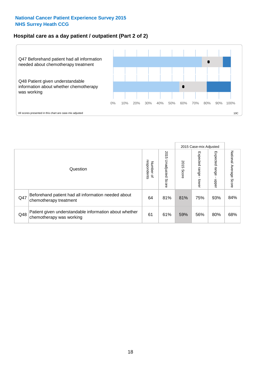#### **Hospital care as a day patient / outpatient (Part 2 of 2)**



|          |                                                                                    |                                       | 2015 Case-mix Adjusted      |               |                             |                         |                           |
|----------|------------------------------------------------------------------------------------|---------------------------------------|-----------------------------|---------------|-----------------------------|-------------------------|---------------------------|
| Question |                                                                                    | respondents<br>Number<br>$\mathbf{Q}$ | 2015<br>Unadjusted<br>Score | 2015<br>Score | Expected<br>Irange<br>lower | Expected range<br>doper | National Average<br>Score |
| Q47      | Beforehand patient had all information needed about<br>chemotherapy treatment      | 64                                    | 81%                         | 81%           | 75%                         | 93%                     | 84%                       |
| Q48      | Patient given understandable information about whether<br>chemotherapy was working | 61                                    | 61%                         | 59%           | 56%                         | 80%                     | 68%                       |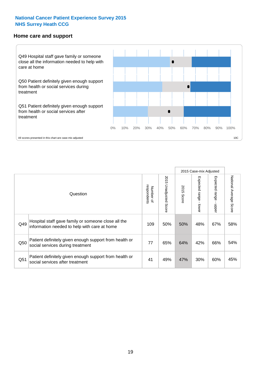#### **Home care and support**



2015 Case-mix Adjusted 2015 Unadjusted Score Expected range - upper National Average Score 2015 Unadjusted Score Expected range - lower National Average Score Expected range - lower Expected range - upper Number of<br>respondents 2015 Score respondents 2015 Score Number of Question Hospital staff gave family or someone close all the  $Q49$  information needed to help with care at home  $Q49$  |  $50\%$  |  $50\%$  |  $48\%$  |  $67\%$  |  $58\%$ Patient definitely given enough support from health or Q50 social services during treatment **64%** 54% 65% 64% 42% 66% 54% Patient definitely given enough support from health or  $\frac{1}{2}$  and the dominary given enough support nominealities  $\frac{41}{49\%}$   $\frac{47\%}{47\%}$  30% 60% 45%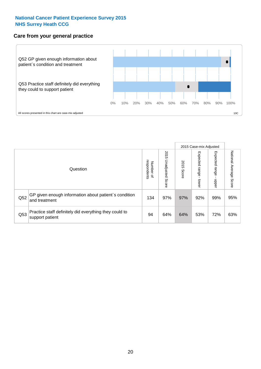#### **Care from your general practice**



|          |                                                                           |                                       |                             | 2015 Case-mix Adjusted |                                   |                            |                           |
|----------|---------------------------------------------------------------------------|---------------------------------------|-----------------------------|------------------------|-----------------------------------|----------------------------|---------------------------|
| Question |                                                                           | respondents<br>Number<br>$\mathbf{Q}$ | 2015<br>Unadjusted<br>Score | 2015<br>Score          | Expected<br><b>Lange</b><br>lower | Expected<br>range<br>doper | National Average<br>Score |
| Q52      | GP given enough information about patient's condition<br>and treatment    | 134                                   | 97%                         | 97%                    | 92%                               | 99%                        | 95%                       |
| Q53      | Practice staff definitely did everything they could to<br>support patient | 94                                    | 64%                         | 64%                    | 53%                               | 72%                        | 63%                       |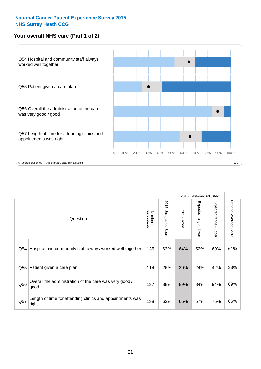#### **Your overall NHS care (Part 1 of 2)**



|     |                                                                    |                          |                                 |               | 2015 Case-mix Adjusted  |                                           |                        |
|-----|--------------------------------------------------------------------|--------------------------|---------------------------------|---------------|-------------------------|-------------------------------------------|------------------------|
|     | Question                                                           | respondents<br>Number of | 2015<br><b>Unadjusted Score</b> | 2015<br>Score | Expected range<br>lower | Expected range<br>$\blacksquare$<br>nbber | National Average Score |
| Q54 | Hospital and community staff always worked well together           | 135                      | 63%                             | 64%           | 52%                     | 69%                                       | 61%                    |
| Q55 | Patient given a care plan                                          | 114                      | 26%                             | 30%           | 24%                     | 42%                                       | 33%                    |
| Q56 | Overall the administration of the care was very good /<br>good     | 137                      | 88%                             | 89%           | 84%                     | 94%                                       | 89%                    |
| Q57 | Length of time for attending clinics and appointments was<br>right | 138                      | 63%                             | 65%           | 57%                     | 75%                                       | 66%                    |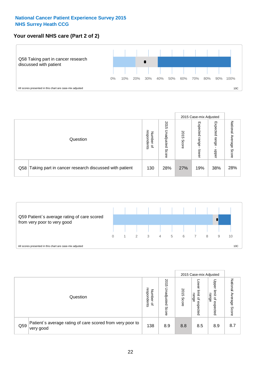#### **Your overall NHS care (Part 2 of 2)**



|          |                                                       |                                              | 2015 Case-mix Adjusted      |               |                            |                            |                        |
|----------|-------------------------------------------------------|----------------------------------------------|-----------------------------|---------------|----------------------------|----------------------------|------------------------|
| Question |                                                       | respondents<br>Number<br>$\overline{\sigma}$ | 2015<br>Unadjusted<br>Score | 2015<br>Score | Expected<br>range<br>lower | Expected<br>range<br>doper | National Average Score |
| Q58      | Taking part in cancer research discussed with patient | 130                                          | 28%                         | 27%           | 19%                        | 38%                        | 28%                    |



|     |                                                                        |                                   | 2015 Case-mix Adjusted      |               |                                                           |                                                                 |                              |
|-----|------------------------------------------------------------------------|-----------------------------------|-----------------------------|---------------|-----------------------------------------------------------|-----------------------------------------------------------------|------------------------------|
|     | Question                                                               | respondents<br>Number<br>$\Omega$ | 2015<br>Jnadjusted<br>Score | 2015<br>Score | OWer<br>limit<br>range<br>$\overline{\sigma}$<br>expected | Upper<br>limit<br>range<br>$\overline{\mathcal{C}}$<br>expected | National<br>Average<br>Score |
| Q59 | Patient's average rating of care scored from very poor to<br>very good | 138                               | 8.9                         | 8.8           | 8.5                                                       | 8.9                                                             | 8.7                          |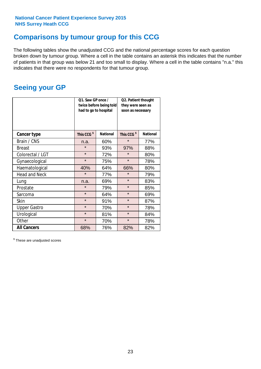### **Comparisons by tumour group for this CCG**

The following tables show the unadjusted CCG and the national percentage scores for each question broken down by tumour group. Where a cell in the table contains an asterisk this indicates that the number of patients in that group was below 21 and too small to display. Where a cell in the table contains "n.a." this indicates that there were no respondents for that tumour group.

### **Seeing your GP**

|                      | Q1. Saw GP once /      | Q2. Patient thought<br>twice before being told<br>they were seen as<br>had to go to hospital<br>soon as necessary |                        |                 |
|----------------------|------------------------|-------------------------------------------------------------------------------------------------------------------|------------------------|-----------------|
| <b>Cancer type</b>   | This CCG <sup>\$</sup> | <b>National</b>                                                                                                   | This CCG <sup>\$</sup> | <b>National</b> |
| Brain / CNS          | n.a.                   | 60%                                                                                                               | $\star$                | 77%             |
| <b>Breast</b>        | $\star$                | 93%                                                                                                               | 97%                    | 88%             |
| Colorectal / LGT     | $\star$                | 72%                                                                                                               | $\star$                | 80%             |
| Gynaecological       | $\star$<br>75%         |                                                                                                                   | $\star$                | 78%             |
| Haematological       | 40%                    | 64%                                                                                                               | 66%                    | 80%             |
| <b>Head and Neck</b> | $\star$                | 77%                                                                                                               | $\star$                | 79%             |
| Lung                 | n.a.                   | 69%                                                                                                               | $\star$                | 83%             |
| Prostate             | $\star$                | 79%                                                                                                               | $\star$                | 85%             |
| Sarcoma              | $\star$                | 64%                                                                                                               | $\star$                | 69%             |
| Skin                 | $\star$                | 91%                                                                                                               | $\star$                | 87%             |
| <b>Upper Gastro</b>  | $\star$                | 70%                                                                                                               | $\star$                | 78%             |
| Urological           | $\star$                | 81%                                                                                                               | $\star$                | 84%             |
| Other                | $\star$                | 70%                                                                                                               | $\star$                | 78%             |
| <b>All Cancers</b>   | 68%                    | 76%                                                                                                               | 82%                    | 82%             |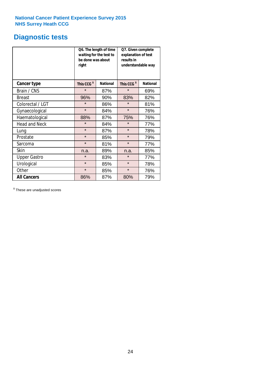# **Diagnostic tests**

|                      | be done was about<br>right | Q6. The length of time<br>waiting for the test to | Q7. Given complete<br>explanation of test<br>results in<br>understandable way |                 |  |  |
|----------------------|----------------------------|---------------------------------------------------|-------------------------------------------------------------------------------|-----------------|--|--|
| <b>Cancer type</b>   | This CCG <sup>\$</sup>     | <b>National</b>                                   | This CCG <sup>\$</sup>                                                        | <b>National</b> |  |  |
| Brain / CNS          | $\star$                    | 87%                                               | $\star$                                                                       | 69%             |  |  |
| <b>Breast</b>        | 96%                        | 90%                                               |                                                                               | 82%             |  |  |
| Colorectal / LGT     | $\star$<br>86%             |                                                   | $\star$                                                                       | 81%             |  |  |
| Gynaecological       | $\star$<br>84%             |                                                   | $\star$                                                                       | 76%             |  |  |
| Haematological       | 88%                        | 87%                                               | 75%                                                                           | 76%             |  |  |
| <b>Head and Neck</b> | $\star$                    | 84%                                               | $\star$                                                                       | 77%             |  |  |
| Lung                 | $\star$                    | 87%                                               | $\star$                                                                       | 78%             |  |  |
| Prostate             | $\star$                    | 85%                                               | $\star$                                                                       | 79%             |  |  |
| Sarcoma              | $\star$                    | 81%                                               | $\star$                                                                       | 77%             |  |  |
| Skin                 | n.a.                       | 89%                                               | n.a.                                                                          | 85%             |  |  |
| <b>Upper Gastro</b>  | $\star$<br>83%             |                                                   | $\star$                                                                       | 77%             |  |  |
| Urological           | $\star$                    | 85%                                               | $\star$                                                                       | 78%             |  |  |
| Other                | $\star$                    | 85%                                               | $\star$                                                                       | 76%             |  |  |
| <b>All Cancers</b>   | 86%                        | 87%                                               | 80%                                                                           | 79%             |  |  |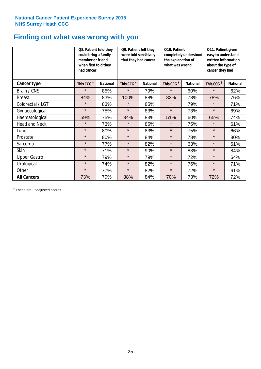### **Finding out what was wrong with you**

|                      |                        | Q8. Patient told they<br>could bring a family<br>member or friend<br>when first told they<br>had cancer |                        | Q9. Patient felt they<br>were told sensitively<br>that they had cancer | Q10. Patient<br>completely understood<br>the explanation of<br>what was wrong |                 | Q11. Patient given<br>easy to understand<br>written information<br>about the type of<br>cancer they had |                 |
|----------------------|------------------------|---------------------------------------------------------------------------------------------------------|------------------------|------------------------------------------------------------------------|-------------------------------------------------------------------------------|-----------------|---------------------------------------------------------------------------------------------------------|-----------------|
| Cancer type          | This CCG <sup>\$</sup> | <b>National</b>                                                                                         | This CCG <sup>\$</sup> | <b>National</b>                                                        | This CCG <sup>\$</sup>                                                        | <b>National</b> | This CCG <sup>\$</sup>                                                                                  | <b>National</b> |
| Brain / CNS          | $\star$                | 85%                                                                                                     | $\star$                | 79%                                                                    | $\star$                                                                       | 60%             | $\star$                                                                                                 | 62%             |
| <b>Breast</b>        | 84%                    | 83%                                                                                                     | 100%                   | 88%                                                                    | 83%                                                                           | 78%             | 78%                                                                                                     | 76%             |
| Colorectal / LGT     | $\star$                | 83%                                                                                                     | $\star$                | 85%                                                                    | $\star$                                                                       | 79%             | $\star$                                                                                                 | 71%             |
| Gynaecological       | $\star$                | 75%                                                                                                     | $\star$                | 83%                                                                    | $\star$                                                                       | 73%             | $\star$                                                                                                 | 69%             |
| Haematological       | 59%                    | 75%                                                                                                     | 84%                    | 83%                                                                    | 51%                                                                           | 60%             | 65%                                                                                                     | 74%             |
| <b>Head and Neck</b> | $\star$                | 73%                                                                                                     | $\star$                | 85%                                                                    | $\star$                                                                       | 75%             | $\star$                                                                                                 | 61%             |
| Lung                 | $\star$                | 80%                                                                                                     | $\star$                | 83%                                                                    | $\star$                                                                       | 75%             | $\star$                                                                                                 | 66%             |
| Prostate             | $\star$                | 80%                                                                                                     | $\star$                | 84%                                                                    | $\star$                                                                       | 78%             | $\star$                                                                                                 | 80%             |
| Sarcoma              | $\star$                | 77%                                                                                                     | $\star$                | 82%                                                                    | $\star$                                                                       | 63%             | $\star$                                                                                                 | 61%             |
| Skin                 | $\star$                | 71%                                                                                                     | $\star$                | 90%                                                                    | $\star$                                                                       | 83%             | $\star$                                                                                                 | 84%             |
| <b>Upper Gastro</b>  | $\star$                | 79%                                                                                                     | $\star$                | 79%                                                                    | $\star$                                                                       | 72%             | $\star$                                                                                                 | 64%             |
| Urological           | $\star$                | 74%                                                                                                     | $\star$                | 82%                                                                    | $\star$                                                                       | 76%             | $\star$                                                                                                 | 71%             |
| Other                | $\star$                | 77%                                                                                                     | $\star$                | 82%                                                                    | $\star$                                                                       | 72%             | $\star$                                                                                                 | 61%             |
| <b>All Cancers</b>   | 73%                    | 79%                                                                                                     | 88%                    | 84%                                                                    | 70%                                                                           | 73%             | 72%                                                                                                     | 72%             |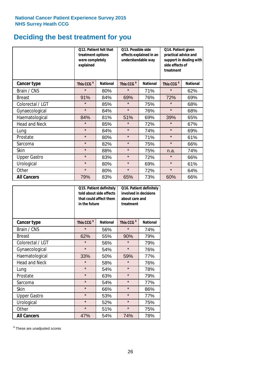### **Deciding the best treatment for you**

|                      | treatment options<br>were completely<br>explained | Q12. Patient felt that | Q13. Possible side<br>understandable way | effects explained in an | Q14. Patient given<br>practical advice and<br>support in dealing with<br>side effects of<br>treatment |                 |  |
|----------------------|---------------------------------------------------|------------------------|------------------------------------------|-------------------------|-------------------------------------------------------------------------------------------------------|-----------------|--|
| <b>Cancer type</b>   | This CCG <sup>\$</sup>                            | <b>National</b>        | This CCG <sup>\$</sup>                   | <b>National</b>         | This CCG <sup>\$</sup>                                                                                | <b>National</b> |  |
| Brain / CNS          | $\star$                                           | 80%                    | $\star$                                  | 71%                     | $\star$                                                                                               | 62%             |  |
| <b>Breast</b>        | 91%                                               | 84%                    | 69%                                      | 76%                     | 72%                                                                                                   | 69%             |  |
| Colorectal / LGT     | $\star$                                           | 85%                    | $\star$                                  | 75%                     | $\star$                                                                                               | 68%             |  |
| Gynaecological       | $\star$                                           | 84%                    | $\star$<br>76%                           |                         | $\star$                                                                                               | 68%             |  |
| Haematological       | 84%                                               | 81%                    | 51%                                      | 69%                     | 39%                                                                                                   | 65%             |  |
| <b>Head and Neck</b> | $\star$                                           | 85%                    | $\star$                                  | 72%                     | $\star$                                                                                               | 67%             |  |
| Lung                 | $\star$                                           | 84%                    | $\star$                                  | 74%                     | $\star$                                                                                               | 69%             |  |
| Prostate             | $\star$                                           | 80%                    | $\star$                                  | 71%                     | $\star$                                                                                               | 61%             |  |
| Sarcoma              | $\star$                                           | 82%                    | $\star$                                  | 75%                     | $\star$                                                                                               | 66%             |  |
| Skin                 | $\star$                                           | 88%                    | $\star$                                  | 75%                     | n.a.                                                                                                  | 74%             |  |
| <b>Upper Gastro</b>  | $\star$                                           | 83%                    | $\star$                                  | 72%                     |                                                                                                       | 66%             |  |
| Urological           | $\star$                                           | 80%                    | $\star$                                  | 69%                     | $\star$                                                                                               | 61%             |  |
| Other                | $\star$                                           | 80%                    | $\star$                                  | 72%                     | $\star$                                                                                               | 64%             |  |
| <b>All Cancers</b>   | 79%                                               | 83%                    | 65%                                      | 73%                     | 60%                                                                                                   | 66%             |  |

|                      | in the future          | Q15. Patient definitely<br>told about side effects<br>that could affect them | Q16. Patient definitely<br>involved in decisions<br>about care and<br>treatment |                 |  |
|----------------------|------------------------|------------------------------------------------------------------------------|---------------------------------------------------------------------------------|-----------------|--|
| <b>Cancer type</b>   | This CCG <sup>\$</sup> | <b>National</b>                                                              | This CCG <sup>\$</sup>                                                          | <b>National</b> |  |
| Brain / CNS          | $\star$                | 56%                                                                          | $\star$                                                                         | 74%             |  |
| <b>Breast</b>        | 62%                    | 55%                                                                          |                                                                                 | 79%             |  |
| Colorectal / LGT     | $\star$                | 56%                                                                          | $\star$                                                                         | 79%             |  |
| Gynaecological       | $\star$<br>54%         |                                                                              | $\star$                                                                         | 76%             |  |
| Haematological       | 33%<br>50%             |                                                                              | 59%                                                                             | 77%             |  |
| <b>Head and Neck</b> | $\star$                | 58%                                                                          | $\star$                                                                         | 76%             |  |
| Lung                 | $\star$                | 54%                                                                          | $\star$                                                                         | 78%             |  |
| Prostate             | $\star$                | 63%                                                                          | $\star$                                                                         | 79%             |  |
| Sarcoma              | $\star$                | 54%                                                                          | $\star$                                                                         | 77%             |  |
| Skin                 | $\star$                | 66%                                                                          | $\star$                                                                         | 86%             |  |
| <b>Upper Gastro</b>  | $\star$                | 53%                                                                          | $\star$                                                                         | 77%             |  |
| Urological           | $\star$                | 52%                                                                          | $\star$                                                                         | 75%             |  |
| Other                | $\star$                | 51%                                                                          | $\star$                                                                         | 75%             |  |
| <b>All Cancers</b>   | 47%                    | 54%                                                                          | 74%                                                                             | 78%             |  |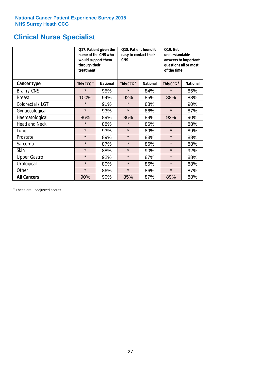# **Clinical Nurse Specialist**

|                      | would support them<br>through their<br>treatment | Q17. Patient given the<br>name of the CNS who | Q18. Patient found it<br>easy to contact their<br><b>CNS</b> |                 | <b>Q19. Get</b><br>understandable<br>answers to important<br>questions all or most<br>of the time |                 |  |
|----------------------|--------------------------------------------------|-----------------------------------------------|--------------------------------------------------------------|-----------------|---------------------------------------------------------------------------------------------------|-----------------|--|
| <b>Cancer type</b>   | This CCG <sup>\$</sup>                           | <b>National</b>                               | This CCG <sup>\$</sup>                                       | <b>National</b> | This CCG <sup>\$</sup>                                                                            | <b>National</b> |  |
| Brain / CNS          | $\star$                                          | 95%                                           | $\star$                                                      | 84%             | $\star$                                                                                           | 85%             |  |
| <b>Breast</b>        | 100%                                             | 94%                                           | 92%                                                          | 85%             | 88%                                                                                               | 88%             |  |
| Colorectal / LGT     | $\star$                                          | 91%                                           | $\star$                                                      | 88%             | $\star$                                                                                           | 90%             |  |
| Gynaecological       | $\star$                                          | 93%                                           | $\star$                                                      | 86%             | $\star$                                                                                           | 87%             |  |
| Haematological       | 86%                                              | 89%                                           | 86%                                                          | 89%             | 92%                                                                                               | 90%             |  |
| <b>Head and Neck</b> | $\star$                                          | 88%                                           | $\star$                                                      | 86%             | $\star$                                                                                           | 88%             |  |
| Lung                 | $\star$                                          | 93%                                           | $\star$                                                      | 89%             | $\star$                                                                                           | 89%             |  |
| Prostate             | $\star$                                          | 89%                                           | $\star$                                                      | 83%             | $\star$                                                                                           | 88%             |  |
| Sarcoma              | $\star$                                          | 87%                                           | $\star$                                                      | 86%             | $\star$                                                                                           | 88%             |  |
| Skin                 | $\star$                                          | 88%                                           | $\star$                                                      | 90%             | $\star$                                                                                           | 92%             |  |
| <b>Upper Gastro</b>  | $\star$                                          | 92%                                           | $\star$                                                      | 87%             | $\star$                                                                                           | 88%             |  |
| Urological           | $\star$                                          | 80%                                           | $\star$                                                      | 85%             | $\star$                                                                                           | 88%             |  |
| Other                | $\star$                                          | 86%                                           | $\star$                                                      | 86%             | $\star$                                                                                           | 87%             |  |
| <b>All Cancers</b>   | 90%                                              | 90%                                           | 85%                                                          | 87%             | 89%                                                                                               | 88%             |  |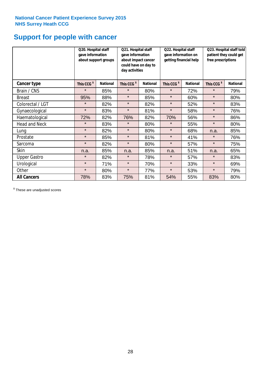# **Support for people with cancer**

|                      | Q20. Hospital staff<br>gave information | about support groups | Q21. Hospital staff<br>Q22. Hospital staff<br>gave information<br>gave information on<br>about impact cancer<br>getting financial help<br>could have on day to<br>day activities |                 | Q23. Hospital staff told<br>patient they could get<br>free prescriptions |                 |                        |                 |
|----------------------|-----------------------------------------|----------------------|----------------------------------------------------------------------------------------------------------------------------------------------------------------------------------|-----------------|--------------------------------------------------------------------------|-----------------|------------------------|-----------------|
| Cancer type          | This CCG <sup>\$</sup>                  | <b>National</b>      | This CCG <sup>\$</sup>                                                                                                                                                           | <b>National</b> | This CCG <sup>\$</sup>                                                   | <b>National</b> | This CCG <sup>\$</sup> | <b>National</b> |
| Brain / CNS          | $\star$                                 | 85%                  | $\star$                                                                                                                                                                          | 80%             | $\star$                                                                  | 72%             | $\star$                | 79%             |
| <b>Breast</b>        | 95%                                     | 88%                  | $\star$                                                                                                                                                                          | 85%             | $\star$                                                                  | 60%             | $\star$                | 80%             |
| Colorectal / LGT     | $\star$                                 | 82%                  | $\star$                                                                                                                                                                          | 82%             | $\star$                                                                  | 52%             | $\star$                | 83%             |
| Gynaecological       | $\star$                                 | 83%                  | $\star$                                                                                                                                                                          | 81%             | $\star$                                                                  | 58%             | $\star$                | 76%             |
| Haematological       | 72%                                     | 82%                  | 76%                                                                                                                                                                              | 82%             | 70%                                                                      | 56%             | $\star$                | 86%             |
| <b>Head and Neck</b> | $\star$                                 | 83%                  | $\star$                                                                                                                                                                          | 80%             | $\star$                                                                  | 55%             | $\star$                | 80%             |
| Lung                 | $\star$                                 | 82%                  | $\star$                                                                                                                                                                          | 80%             | $\star$                                                                  | 68%             | n.a.                   | 85%             |
| Prostate             | $\star$                                 | 85%                  | $\star$                                                                                                                                                                          | 81%             | $\star$                                                                  | 41%             | $\star$                | 76%             |
| Sarcoma              | $\star$                                 | 82%                  | $\star$                                                                                                                                                                          | 80%             | $\star$                                                                  | 57%             | $\star$                | 75%             |
| Skin                 | n.a.                                    | 85%                  | n.a.                                                                                                                                                                             | 85%             | n.a.                                                                     | 51%             | n.a.                   | 65%             |
| <b>Upper Gastro</b>  | $\star$                                 | 82%                  | $\star$                                                                                                                                                                          | 78%             | $\star$                                                                  | 57%             | $\star$                | 83%             |
| Urological           | $\star$                                 | 71%                  | $\star$                                                                                                                                                                          | 70%             | $\star$                                                                  | 33%             | $\star$                | 69%             |
| Other                | $\star$                                 | 80%                  | $\star$                                                                                                                                                                          | 77%             | $\star$                                                                  | 53%             | $\star$                | 79%             |
| <b>All Cancers</b>   | 78%                                     | 83%                  | 75%                                                                                                                                                                              | 81%             | 54%                                                                      | 55%             | 83%                    | 80%             |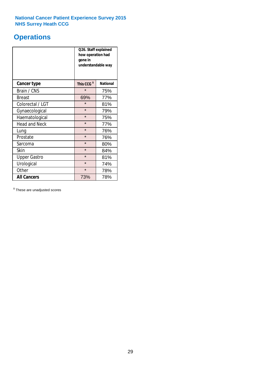# **Operations**

|                      | Q26. Staff explained<br>how operation had<br>gone in<br>understandable way |                 |  |  |
|----------------------|----------------------------------------------------------------------------|-----------------|--|--|
| <b>Cancer type</b>   | This CCG <sup>\$</sup>                                                     | <b>National</b> |  |  |
| Brain / CNS          | $\star$                                                                    | 75%             |  |  |
| <b>Breast</b>        | 69%                                                                        | 77%             |  |  |
| Colorectal / LGT     | $\star$                                                                    | 81%             |  |  |
| Gynaecological       | $\star$<br>79%                                                             |                 |  |  |
| Haematological       | $\star$<br>75%                                                             |                 |  |  |
| <b>Head and Neck</b> | $\star$                                                                    | 77%             |  |  |
| Lung                 | $\star$                                                                    | 76%             |  |  |
| Prostate             | $\star$                                                                    | 76%             |  |  |
| Sarcoma              | $\star$                                                                    | 80%             |  |  |
| Skin                 | $\star$                                                                    | 84%             |  |  |
| <b>Upper Gastro</b>  | $\star$                                                                    | 81%             |  |  |
| Urological           | $\star$                                                                    | 74%             |  |  |
| Other                | $\star$<br>78%                                                             |                 |  |  |
| <b>All Cancers</b>   | 73%                                                                        | 78%             |  |  |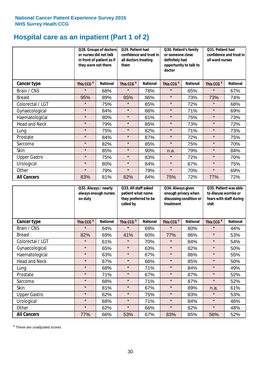# **Hospital care as an inpatient (Part 1 of 2)**

|                      | or nurses did not talk<br>they were not there | Q28. Groups of doctors<br>in front of patient as if | Q29. Patient had<br>Q30. Patient's family<br>confidence and trust in<br>or someone close<br>definitely had<br>all doctors treating<br>opportunity to talk to<br>them<br>doctor |                 |                        | Q31. Patient had<br>confidence and trust in<br>all ward nurses |                        |                 |
|----------------------|-----------------------------------------------|-----------------------------------------------------|--------------------------------------------------------------------------------------------------------------------------------------------------------------------------------|-----------------|------------------------|----------------------------------------------------------------|------------------------|-----------------|
| Cancer type          | This CCG <sup>\$</sup>                        | <b>National</b>                                     | This CCG <sup>\$</sup>                                                                                                                                                         | <b>National</b> | This CCG <sup>\$</sup> | <b>National</b>                                                | This CCG <sup>\$</sup> | <b>National</b> |
| Brain / CNS          | $\star$                                       | 68%                                                 | $\star$                                                                                                                                                                        | 78%             | $\star$                | 65%                                                            | $\star$                | 67%             |
| <b>Breast</b>        | 95%                                           | 89%                                                 | 95%                                                                                                                                                                            | 86%             | $\star$                | 73%                                                            | 73%                    | 74%             |
| Colorectal / LGT     | $\star$                                       | 75%                                                 | $\star$                                                                                                                                                                        | 85%             | $\star$                | 72%                                                            | $\star$                | 68%             |
| Gynaecological       | $\star$                                       | 84%                                                 | $\star$                                                                                                                                                                        | 86%             | $\star$                | 71%                                                            | $\star$                | 69%             |
| Haematological       | $\star$                                       | 80%                                                 | $\star$                                                                                                                                                                        | 81%             | $\star$                | 75%                                                            | $\star$                | 73%             |
| <b>Head and Neck</b> | $\star$                                       | 79%                                                 | $\star$                                                                                                                                                                        | 85%             | $\star$                | 73%                                                            | $\star$                | 72%             |
| Lung                 | $\star$                                       | 75%                                                 | $\star$                                                                                                                                                                        | 82%             | $\star$                | 71%                                                            | $\star$                | 73%             |
| Prostate             | $\star$                                       | 84%                                                 | $\star$                                                                                                                                                                        | 87%             | $\star$                | 72%                                                            | $\star$                | 75%             |
| Sarcoma              | $\star$                                       | 82%                                                 | $\star$                                                                                                                                                                        | 85%             | $\star$                | 75%                                                            | $\star$                | 70%             |
| Skin                 | $\star$                                       | 85%                                                 | $\star$                                                                                                                                                                        | 90%             | n.a.                   | 79%                                                            | $\star$                | 84%             |
| <b>Upper Gastro</b>  | $\star$                                       | 75%                                                 | $\star$                                                                                                                                                                        | 83%             | $\star$                | 72%                                                            | $\star$                | 70%             |
| Urological           | $\star$                                       | 80%                                                 | $\star$                                                                                                                                                                        | 84%             | $\star$                | 67%                                                            | $\star$                | 75%             |
| Other                | $\star$                                       | 79%                                                 | $\star$                                                                                                                                                                        | 79%             | $\star$                | 70%                                                            | $\star$                | 69%             |
| <b>All Cancers</b>   | 83%                                           | 81%                                                 | 82%                                                                                                                                                                            | 84%             | 75%                    | 72%                                                            | 77%                    | 72%             |

|                      | Q32. Always / nearly<br>always enough nurses<br>on duty |                 | Q33. All staff asked<br>patient what name<br>they preferred to be<br>called by |                 | Q34. Always given<br>enough privacy when<br>discussing condition or<br>treatment |                 | Q35. Patient was able<br>to discuss worries or<br>fears with staff during<br>visit |                 |
|----------------------|---------------------------------------------------------|-----------------|--------------------------------------------------------------------------------|-----------------|----------------------------------------------------------------------------------|-----------------|------------------------------------------------------------------------------------|-----------------|
| <b>Cancer type</b>   | This CCG <sup>\$</sup>                                  | <b>National</b> | This CCG <sup>\$</sup>                                                         | <b>National</b> | This CCG <sup>\$</sup>                                                           | <b>National</b> | This CCG <sup>\$</sup>                                                             | <b>National</b> |
| Brain / CNS          | $\star$                                                 | 64%             | $\star$                                                                        | 69%             | $\star$                                                                          | 80%             | $\star$                                                                            | 44%             |
| <b>Breast</b>        | 82%                                                     | 69%             | 41%                                                                            | 60%             | 77%                                                                              | 86%             | $\star$                                                                            | 53%             |
| Colorectal / LGT     | $\star$                                                 | 61%             | $\star$                                                                        | 70%             | $\star$                                                                          | 84%             | $\star$                                                                            | 54%             |
| Gynaecological       | $\star$                                                 | 65%             | $\star$                                                                        | 63%             | $\star$                                                                          | 82%             | $\star$                                                                            | 50%             |
| Haematological       | $\star$                                                 | 63%             | $\star$                                                                        | 67%             | $\star$                                                                          | 86%             | $\star$                                                                            | 55%             |
| <b>Head and Neck</b> | $\star$                                                 | 67%             | $\star$                                                                        | 66%             | $\star$                                                                          | 85%             | $\star$                                                                            | 50%             |
| Lung                 | $\star$                                                 | 68%             | $\star$                                                                        | 71%             | $\star$                                                                          | 84%             | $\star$                                                                            | 49%             |
| Prostate             | $\star$                                                 | 71%             | $\star$                                                                        | 67%             | $\star$                                                                          | 87%             | $\star$                                                                            | 52%             |
| Sarcoma              | $\star$                                                 | 68%             | $\star$                                                                        | 71%             | $\star$                                                                          | 87%             | $\star$                                                                            | 52%             |
| Skin                 | $\star$                                                 | 81%             | $\star$                                                                        | 67%             | $\star$                                                                          | 89%             | n.a.                                                                               | 61%             |
| <b>Upper Gastro</b>  | $\star$                                                 | 62%             | $\star$                                                                        | 75%             | $\star$                                                                          | 83%             | $\star$                                                                            | 53%             |
| Urological           | $\star$                                                 | 68%             | $\star$                                                                        | 71%             | $\star$                                                                          | 84%             | $\star$                                                                            | 46%             |
| Other                | $\star$                                                 | 62%             | $\star$                                                                        | 66%             | $\star$                                                                          | 82%             | $\star$                                                                            | 48%             |
| <b>All Cancers</b>   | 77%                                                     | 66%             | 53%                                                                            | 67%             | 83%                                                                              | 85%             | 56%                                                                                | 52%             |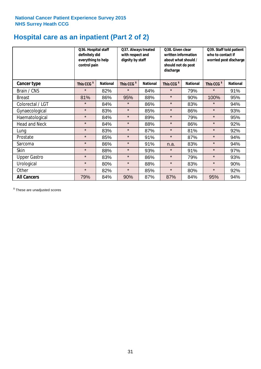# **Hospital care as an inpatient (Part 2 of 2)**

|                      | Q36. Hospital staff<br>definitely did<br>everything to help<br>control pain |                 | Q37. Always treated<br>Q38. Given clear<br>with respect and<br>written information<br>dignity by staff<br>about what should /<br>should not do post<br>discharge |                 | Q39. Staff told patient<br>who to contact if<br>worried post discharge |                 |                        |                 |
|----------------------|-----------------------------------------------------------------------------|-----------------|------------------------------------------------------------------------------------------------------------------------------------------------------------------|-----------------|------------------------------------------------------------------------|-----------------|------------------------|-----------------|
| Cancer type          | This CCG <sup>\$</sup>                                                      | <b>National</b> | This CCG <sup>\$</sup>                                                                                                                                           | <b>National</b> | This CCG <sup>\$</sup>                                                 | <b>National</b> | This CCG <sup>\$</sup> | <b>National</b> |
| Brain / CNS          | $\star$                                                                     | 82%             | $\star$                                                                                                                                                          | 84%             | $\star$                                                                | 79%             | $\star$                | 91%             |
| <b>Breast</b>        | 81%                                                                         | 86%             | 95%                                                                                                                                                              | 88%             | $\star$                                                                | 90%             | 100%                   | 95%             |
| Colorectal / LGT     | $\star$                                                                     | 84%             | $\star$                                                                                                                                                          | 86%             | $\star$                                                                | 83%             | $\star$                | 94%             |
| Gynaecological       | $\star$                                                                     | 83%             | $\star$                                                                                                                                                          | 85%             | $\star$                                                                | 86%             | $\star$                | 93%             |
| Haematological       | $\star$                                                                     | 84%             | $\star$                                                                                                                                                          | 89%             | $\star$                                                                | 79%             | $\star$                | 95%             |
| <b>Head and Neck</b> | $\star$                                                                     | 84%             | $\star$                                                                                                                                                          | 88%             | $\star$                                                                | 86%             | $\star$                | 92%             |
| Lung                 | $\star$                                                                     | 83%             | $\star$                                                                                                                                                          | 87%             | $\star$                                                                | 81%             | $\star$                | 92%             |
| Prostate             | $\star$                                                                     | 85%             | $\star$                                                                                                                                                          | 91%             | $\star$                                                                | 87%             | $\star$                | 94%             |
| Sarcoma              | $\star$                                                                     | 86%             | $\star$                                                                                                                                                          | 91%             | n.a.                                                                   | 83%             | $\star$                | 94%             |
| Skin                 | $\star$                                                                     | 88%             | $\star$                                                                                                                                                          | 93%             | $\star$                                                                | 91%             | $\star$                | 97%             |
| <b>Upper Gastro</b>  | $\star$                                                                     | 83%             | $\star$                                                                                                                                                          | 86%             | $\star$                                                                | 79%             | $\star$                | 93%             |
| Urological           | $\star$                                                                     | 80%             | $\star$                                                                                                                                                          | 88%             | $\star$                                                                | 83%             | $\star$                | 90%             |
| Other                | $\star$                                                                     | 82%             | $\star$                                                                                                                                                          | 85%             | $\star$                                                                | 80%             | $\star$                | 92%             |
| <b>All Cancers</b>   | 79%                                                                         | 84%             | 90%                                                                                                                                                              | 87%             | 87%                                                                    | 84%             | 95%                    | 94%             |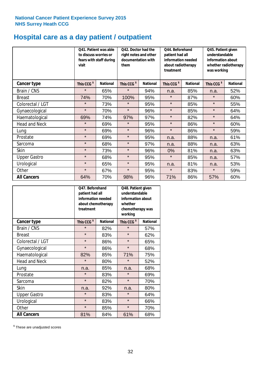# **Hospital care as a day patient / outpatient**

|                      | to discuss worries or<br>visit | Q41. Patient was able<br>fears with staff during | Q42. Doctor had the<br>right notes and other<br>documentation with<br>them |                 | Q44. Beforehand<br>patient had all<br>information needed<br>about radiotherapy<br>treatment |                 | Q45. Patient given<br>understandable<br>information about<br>whether radiotherapy<br>was working |                 |
|----------------------|--------------------------------|--------------------------------------------------|----------------------------------------------------------------------------|-----------------|---------------------------------------------------------------------------------------------|-----------------|--------------------------------------------------------------------------------------------------|-----------------|
| <b>Cancer type</b>   | This CCG <sup>\$</sup>         | <b>National</b>                                  | This CCG <sup>\$</sup>                                                     | <b>National</b> | This CCG <sup>\$</sup>                                                                      | <b>National</b> | This CCG <sup>\$</sup>                                                                           | <b>National</b> |
| Brain / CNS          | $\star$                        | 65%                                              | $\star$                                                                    | 94%             | n.a.                                                                                        | 85%             | n.a.                                                                                             | 52%             |
| <b>Breast</b>        | 74%                            | 70%                                              | 100%                                                                       | 95%             | $\star$                                                                                     | 87%             | $\star$                                                                                          | 60%             |
| Colorectal / LGT     | $\star$                        | 73%                                              | $\star$                                                                    | 95%             | $\star$                                                                                     | 85%             | $\star$                                                                                          | 55%             |
| Gynaecological       | $\star$                        | 70%                                              | $\star$                                                                    | 96%             | $\star$                                                                                     | 85%             | $\star$                                                                                          | 64%             |
| Haematological       | 69%                            | 74%                                              | 97%                                                                        | 97%             | $\star$                                                                                     | 82%             | $\star$                                                                                          | 64%             |
| <b>Head and Neck</b> | $\star$                        | 69%                                              | $\star$                                                                    | 95%             | $\star$                                                                                     | 86%             | $\star$                                                                                          | 60%             |
| Lung                 | $\star$                        | 69%                                              | $\star$                                                                    | 96%             | $\star$                                                                                     | 86%             | $\star$                                                                                          | 59%             |
| Prostate             | $\star$                        | 69%                                              | $\star$                                                                    | 95%             | n.a.                                                                                        | 88%             | n.a.                                                                                             | 61%             |
| Sarcoma              | $\star$                        | 68%                                              | $\star$                                                                    | 97%             | n.a.                                                                                        | 88%             | n.a.                                                                                             | 63%             |
| Skin                 | $\star$                        | 73%                                              | $\star$                                                                    | 96%             | 0%                                                                                          | 81%             | n.a.                                                                                             | 63%             |
| <b>Upper Gastro</b>  | $\star$                        | 68%                                              | $\star$                                                                    | 95%             | $\star$                                                                                     | 85%             | n.a.                                                                                             | 57%             |
| Urological           | $\star$                        | 65%                                              | $\star$                                                                    | 95%             | n.a.                                                                                        | 81%             | n.a.                                                                                             | 53%             |
| Other                | $\star$                        | 67%                                              | $\star$                                                                    | 95%             | $\star$                                                                                     | 83%             | $\star$                                                                                          | 59%             |
| <b>All Cancers</b>   | 64%                            | 70%                                              | 98%                                                                        | 96%             | 71%                                                                                         | 86%             | 57%                                                                                              | 60%             |

|                      | Q47. Beforehand<br>patient had all<br>information needed<br>about chemotherapy<br>treatment |                 | Q48. Patient given<br>understandable<br>information about<br>whether<br>chemotherapy was<br>working |                 |  |
|----------------------|---------------------------------------------------------------------------------------------|-----------------|-----------------------------------------------------------------------------------------------------|-----------------|--|
| <b>Cancer type</b>   | This CCG <sup>\$</sup>                                                                      | <b>National</b> | This CCG <sup>\$</sup>                                                                              | <b>National</b> |  |
| Brain / CNS          | $\star$                                                                                     | 82%             | $\star$                                                                                             | 57%             |  |
| <b>Breast</b>        | $\star$                                                                                     | 83%             | $\star$                                                                                             | 62%             |  |
| Colorectal / LGT     | $\star$                                                                                     | 86%             | $\star$                                                                                             | 65%             |  |
| Gynaecological       | $\star$                                                                                     | 86%             | $\star$                                                                                             | 68%             |  |
| Haematological       | 85%<br>82%                                                                                  |                 | 71%                                                                                                 | 75%             |  |
| <b>Head and Neck</b> | $\star$                                                                                     | 80%             | $\star$                                                                                             | 52%             |  |
| Lung                 | n.a.                                                                                        | 85%             | n.a.                                                                                                | 68%             |  |
| Prostate             | $\star$                                                                                     | 83%             | $\star$                                                                                             | 69%             |  |
| Sarcoma              | $\star$                                                                                     | 82%             | $\star$                                                                                             | 70%             |  |
| <b>Skin</b>          | n.a.                                                                                        | 92%             | n.a.                                                                                                | 80%             |  |
| <b>Upper Gastro</b>  | $\star$                                                                                     | 83%             | $\star$                                                                                             | 64%             |  |
| Urological           | $\star$                                                                                     | 83%             | $\star$                                                                                             | 66%             |  |
| Other                | $\star$                                                                                     | 85%             | $\star$                                                                                             | 70%             |  |
| <b>All Cancers</b>   | 81%                                                                                         | 84%             | 61%                                                                                                 | 68%             |  |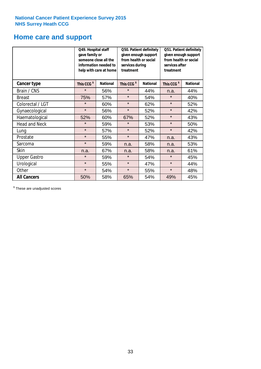### **Home care and support**

|                      | Q49. Hospital staff<br>gave family or | someone close all the<br>information needed to<br>help with care at home | from health or social<br>services during<br>treatment | Q50. Patient definitely<br>given enough support | Q51. Patient definitely<br>given enough support<br>from health or social<br>services after<br>treatment |                 |  |
|----------------------|---------------------------------------|--------------------------------------------------------------------------|-------------------------------------------------------|-------------------------------------------------|---------------------------------------------------------------------------------------------------------|-----------------|--|
| <b>Cancer type</b>   | This CCG <sup>\$</sup>                | <b>National</b>                                                          | This CCG <sup>\$</sup>                                | <b>National</b>                                 | This CCG <sup>\$</sup>                                                                                  | <b>National</b> |  |
| Brain / CNS          | $\star$                               | 56%                                                                      | $\star$                                               | 44%                                             | n.a.                                                                                                    | 44%             |  |
| <b>Breast</b>        | 75%                                   | 57%                                                                      | $\star$                                               | 54%                                             | $\star$                                                                                                 | 40%             |  |
| Colorectal / LGT     | $\star$                               | 60%                                                                      | $\star$                                               | 62%                                             | $\star$                                                                                                 | 52%             |  |
| Gynaecological       | $\star$                               | 56%                                                                      | $\star$                                               | 52%                                             | $\star$                                                                                                 | 42%             |  |
| Haematological       | 52%                                   | 60%                                                                      | 67%                                                   | 52%                                             | $\star$                                                                                                 | 43%             |  |
| <b>Head and Neck</b> | $\star$                               | 59%                                                                      | $\star$                                               | 53%                                             | $\star$                                                                                                 | 50%             |  |
| Lung                 | $\star$                               | 57%                                                                      | $\star$                                               | 52%                                             | $\star$                                                                                                 | 42%             |  |
| Prostate             | $\star$                               | 55%                                                                      | $\star$                                               | 47%                                             | n.a.                                                                                                    | 43%             |  |
| Sarcoma              | $\star$                               | 59%                                                                      | n.a.                                                  | 58%                                             | n.a.                                                                                                    | 53%             |  |
| Skin                 | n.a.                                  | 67%                                                                      | n.a.                                                  | 58%                                             | n.a.                                                                                                    | 61%             |  |
| <b>Upper Gastro</b>  | $\star$                               | 59%                                                                      | $\star$                                               | 54%                                             | $\star$                                                                                                 | 45%             |  |
| Urological           | $\star$                               | 55%                                                                      | $\star$                                               | 47%                                             | $\star$                                                                                                 | 44%             |  |
| Other                | $\star$                               | 54%                                                                      | $\star$                                               | 55%                                             | $\star$                                                                                                 | 48%             |  |
| <b>All Cancers</b>   | 50%                                   | 58%                                                                      | 65%                                                   | 54%                                             | 49%                                                                                                     | 45%             |  |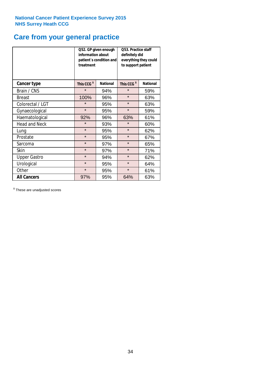# **Care from your general practice**

|                      | information about<br>treatment | Q52. GP given enough<br>patient's condition and | O53. Practice staff<br>definitely did<br>everything they could<br>to support patient |                 |  |
|----------------------|--------------------------------|-------------------------------------------------|--------------------------------------------------------------------------------------|-----------------|--|
| <b>Cancer type</b>   | This CCG <sup>\$</sup>         | <b>National</b>                                 | This CCG <sup>\$</sup>                                                               | <b>National</b> |  |
| Brain / CNS          | $\star$                        | 94%                                             | $\star$                                                                              | 59%             |  |
| <b>Breast</b>        | 100%                           | 96%                                             | $\star$                                                                              | 63%             |  |
| Colorectal / LGT     | $\star$                        | 95%                                             | $\star$                                                                              | 63%             |  |
| Gynaecological       | $\star$                        | 95%                                             | $\star$                                                                              | 59%             |  |
| Haematological       | 92%                            | 96%                                             | 63%                                                                                  | 61%             |  |
| <b>Head and Neck</b> | $\star$                        | 93%                                             | $\star$                                                                              | 60%             |  |
| Lung                 | $\star$                        | 95%                                             | $\star$                                                                              | 62%             |  |
| Prostate             | $\star$                        | 95%                                             | $\star$                                                                              | 67%             |  |
| Sarcoma              | $\star$                        | 97%                                             | $\star$                                                                              | 65%             |  |
| Skin                 | $\star$                        | 97%                                             | $\star$                                                                              | 71%             |  |
| <b>Upper Gastro</b>  | $\star$                        | 94%                                             | $\star$                                                                              | 62%             |  |
| Urological           | $\star$                        | 95%                                             | $\star$                                                                              | 64%             |  |
| Other                | $\star$                        | 95%                                             | $\star$                                                                              | 61%             |  |
| <b>All Cancers</b>   | 97%                            | 95%                                             | 64%                                                                                  | 63%             |  |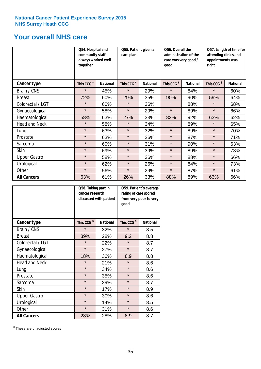### **Your overall NHS care**

|                      | Q54. Hospital and<br>community staff<br>always worked well<br>together |                 | Q55. Patient given a<br>care plan |                 | Q56. Overall the<br>administration of the<br>care was very good /<br>qood |                 | Q57. Length of time for<br>attending clinics and<br>appointments was<br>right |                 |
|----------------------|------------------------------------------------------------------------|-----------------|-----------------------------------|-----------------|---------------------------------------------------------------------------|-----------------|-------------------------------------------------------------------------------|-----------------|
| <b>Cancer type</b>   | This CCG <sup>\$</sup>                                                 | <b>National</b> | This CCG <sup>\$</sup>            | <b>National</b> | This CCG <sup>\$</sup>                                                    | <b>National</b> | This CCG <sup>\$</sup>                                                        | <b>National</b> |
| Brain / CNS          | $\star$                                                                | 45%             | $\star$                           | 29%             | $\star$                                                                   | 84%             | $\star$                                                                       | 60%             |
| <b>Breast</b>        | 72%                                                                    | 60%             | 29%                               | 35%             | 90%                                                                       | 90%             | 59%                                                                           | 64%             |
| Colorectal / LGT     | $\star$                                                                | 60%             | $\star$                           | 36%             | $\star$                                                                   | 88%             | $\star$                                                                       | 68%             |
| Gynaecological       | $\star$                                                                | 58%             | $\star$                           | 29%             | $\star$                                                                   | 89%             | $\star$                                                                       | 66%             |
| Haematological       | 58%                                                                    | 63%             | 27%                               | 33%             | 83%                                                                       | 92%             | 63%                                                                           | 62%             |
| <b>Head and Neck</b> | $\star$                                                                | 58%             | $\star$                           | 34%             | $\star$                                                                   | 89%             | $\star$                                                                       | 65%             |
| Lung                 | $\star$                                                                | 63%             | $\star$                           | 32%             | $\star$                                                                   | 89%             | $\star$                                                                       | 70%             |
| Prostate             | $\star$                                                                | 63%             | $\star$                           | 36%             | $\star$                                                                   | 87%             | $\star$                                                                       | 71%             |
| Sarcoma              | $\star$                                                                | 60%             | $\star$                           | 31%             | $\star$                                                                   | 90%             | $\star$                                                                       | 63%             |
| Skin                 | $\star$                                                                | 69%             | $\star$                           | 39%             | $\star$                                                                   | 89%             | $\star$                                                                       | 73%             |
| <b>Upper Gastro</b>  | $\star$                                                                | 58%             | $\star$                           | 36%             | $\star$                                                                   | 88%             | $\star$                                                                       | 66%             |
| Urological           | $\star$                                                                | 62%             | $\star$                           | 26%             | $\star$                                                                   | 84%             | $\star$                                                                       | 73%             |
| Other                | $\star$                                                                | 56%             | $\star$                           | 29%             | $\star$                                                                   | 87%             | $\star$                                                                       | 61%             |
| <b>All Cancers</b>   | 63%                                                                    | 61%             | 26%                               | 33%             | 88%                                                                       | 89%             | 63%                                                                           | 66%             |

|                      | Q58. Taking part in<br>cancer research | discussed with patient | Q59. Patient's average<br>rating of care scored<br>from very poor to very<br>good |                 |  |
|----------------------|----------------------------------------|------------------------|-----------------------------------------------------------------------------------|-----------------|--|
| <b>Cancer type</b>   | This CCG <sup>\$</sup>                 | <b>National</b>        | This CCG <sup>\$</sup>                                                            | <b>National</b> |  |
| Brain / CNS          | $\star$                                | 32%                    | $\star$                                                                           | 8.5             |  |
| <b>Breast</b>        | 39%                                    | 28%                    | 9.2                                                                               | 8.8             |  |
| Colorectal / LGT     | $\star$                                | 22%                    | $\star$                                                                           | 8.7             |  |
| Gynaecological       | $\star$                                | 27%                    | $\star$                                                                           | 8.7             |  |
| Haematological       | 18%                                    | 36%                    | 8.9                                                                               | 8.8             |  |
| <b>Head and Neck</b> | $\star$                                | 21%                    | $\star$                                                                           | 8.6             |  |
| Lung                 | $\star$                                | 34%                    | $\star$                                                                           | 8.6             |  |
| Prostate             | $\star$                                | 35%                    | $\star$                                                                           | 8.6             |  |
| Sarcoma              | $\star$                                | 29%                    | $\star$                                                                           | 8.7             |  |
| <b>Skin</b>          | $\star$                                | 17%                    | $\star$                                                                           | 8.9             |  |
| <b>Upper Gastro</b>  | $\star$                                | 30%                    | $\star$                                                                           | 8.6             |  |
| Urological           | $\star$                                | 14%                    | $\star$                                                                           | 8.5             |  |
| Other                | $\star$                                | 31%                    | $\star$                                                                           | 8.6             |  |
| <b>All Cancers</b>   | 28%                                    | 28%                    | 8.9                                                                               | 8.7             |  |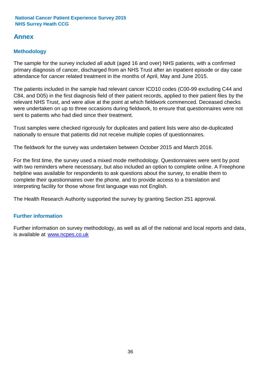### **Annex**

### **Methodology**

The sample for the survey included all adult (aged 16 and over) NHS patients, with a confirmed primary diagnosis of cancer, discharged from an NHS Trust after an inpatient episode or day case attendance for cancer related treatment in the months of April, May and June 2015.

The patients included in the sample had relevant cancer ICD10 codes (C00-99 excluding C44 and C84, and D05) in the first diagnosis field of their patient records, applied to their patient files by the relevant NHS Trust, and were alive at the point at which fieldwork commenced. Deceased checks were undertaken on up to three occasions during fieldwork, to ensure that questionnaires were not sent to patients who had died since their treatment.

Trust samples were checked rigorously for duplicates and patient lists were also de-duplicated nationally to ensure that patients did not receive multiple copies of questionnaires.

The fieldwork for the survey was undertaken between October 2015 and March 2016.

For the first time, the survey used a mixed mode methodology. Questionnaires were sent by post with two reminders where necesssary, but also included an option to complete online. A Freephone helpline was available for respondents to ask questions about the survey, to enable them to complete their questionnaires over the phone, and to provide access to a translation and interpreting facility for those whose first language was not English.

The Health Research Authority supported the survey by granting Section 251 approval.

#### **Further information**

Further information on survey methodology, as well as all of the national and local reports and data, is available at www.ncpes.co.uk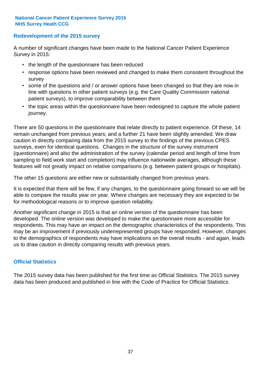#### **Redevelopment of the 2015 survey**

A number of significant changes have been made to the National Cancer Patient Experience Survey in 2015:

- the length of the questionnaire has been reduced
- response options have been reviewed and changed to make them consistent throughout the survey
- some of the questions and / or answer options have been changed so that they are now in line with questions in other patient surveys (e.g. the Care Quality Commission national patient surveys), to improve comparability between them
- the topic areas within the questionnaire have been redesigned to capture the whole patient journey.

There are 50 questions in the questionnaire that relate directly to patient experience. Of these, 14 remain unchanged from previous years; and a further 21 have been slightly amended. We draw caution in directly comparing data from the 2015 survey to the findings of the previous CPES surveys, even for identical questions. Changes in the structure of the survey instrument (questionnaire) and also the administration of the survey (calendar period and length of time from sampling to field work start and completion) may influence nationwide averages, although these features will not greatly impact on relative comparisons (e.g. between patient groups or hospitals).

The other 15 questions are either new or substantially changed from previous years.

It is expected that there will be few, if any changes, to the questionnaire going forward so we will be able to compare the results year on year. Where changes are necessary they are expected to be for methodological reasons or to improve question reliability.

Another significant change in 2015 is that an online version of the questionnaire has been developed. The online version was developed to make the questionnaire more accessible for respondents. This may have an impact on the demographic characteristics of the respondents. This may be an improvement if previously underrepresented groups have responded. However, changes to the demographics of respondents may have implications on the overall results - and again, leads us to draw caution in directly comparing results with previous years.

#### **Official Statistics**

The 2015 survey data has been published for the first time as Official Statistics. The 2015 survey data has been produced and published in line with the Code of Practice for Official Statistics.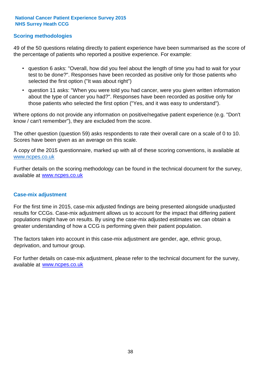#### **Scoring methodologies**

49 of the 50 questions relating directly to patient experience have been summarised as the score of the percentage of patients who reported a positive experience. For example:

- question 6 asks: "Overall, how did you feel about the length of time you had to wait for your test to be done?". Responses have been recorded as positive only for those patients who selected the first option ("It was about right")
- question 11 asks: "When you were told you had cancer, were you given written information about the type of cancer you had?". Responses have been recorded as positive only for those patients who selected the first option ("Yes, and it was easy to understand").

Where options do not provide any information on positive/negative patient experience (e.g. "Don't know / can't remember"), they are excluded from the score.

The other question (question 59) asks respondents to rate their overall care on a scale of 0 to 10. Scores have been given as an average on this scale.

A copy of the 2015 questionnaire, marked up with all of these scoring conventions, is available at www.ncpes.co.uk

Further details on the scoring methodology can be found in the technical document for the survey, available at <u>www.ncpes.co.uk</u>

#### **Case-mix adjustment**

For the first time in 2015, case-mix adjusted findings are being presented alongside unadjusted results for CCGs. Case-mix adjustment allows us to account for the impact that differing patient populations might have on results. By using the case-mix adjusted estimates we can obtain a greater understanding of how a CCG is performing given their patient population.

The factors taken into account in this case-mix adjustment are gender, age, ethnic group, deprivation, and tumour group.

For further details on case-mix adjustment, please refer to the technical document for the survey, available at www.ncpes.co.uk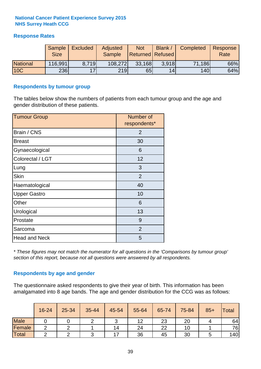#### **Response Rates**

|                 | Sample      | <b>Excluded</b> | Adjusted      | <b>Not</b>              | Blank / | Completed | Response |
|-----------------|-------------|-----------------|---------------|-------------------------|---------|-----------|----------|
|                 | <b>Size</b> |                 | <b>Sample</b> | <b>Returned Refused</b> |         |           | Rate     |
| <b>National</b> | 116,991     | 8.719           | 108,272       | 33,168                  | 3.918   | 71,186    | 66%      |
| <b>10C</b>      | 236         | 17              | 219           | 65                      | 14      | 140       | 64%      |

#### **Respondents by tumour group**

The tables below show the numbers of patients from each tumour group and the age and gender distribution of these patients.

| <b>Tumour Group</b>  | Number of<br>respondents* |
|----------------------|---------------------------|
| Brain / CNS          | 2                         |
| <b>Breast</b>        | 30                        |
| Gynaecological       | 6                         |
| Colorectal / LGT     | 12                        |
| Lung                 | 3                         |
| <b>Skin</b>          | $\overline{2}$            |
| Haematological       | 40                        |
| <b>Upper Gastro</b>  | 10                        |
| Other                | 6                         |
| Urological           | 13                        |
| Prostate             | 9                         |
| Sarcoma              | $\overline{2}$            |
| <b>Head and Neck</b> | 5                         |

*\* These figures may not match the numerator for all questions in the 'Comparisons by tumour group' section of this report, because not all questions were answered by all respondents.*

#### **Respondents by age and gender**

The questionnaire asked respondents to give their year of birth. This information has been amalgamated into 8 age bands. The age and gender distribution for the CCG was as follows:

|             | 16-24 | 25-34 | 35-44 | 45-54 | 55-64 | 65-74 | 75-84 | $85+$ | <b>Total</b> |
|-------------|-------|-------|-------|-------|-------|-------|-------|-------|--------------|
| <b>Male</b> |       |       |       | ັ     | 12    | 23    | 20    |       | 64           |
| Female      | ◠     |       |       | 14    | 24    | 22    | 10    |       | 76           |
| Total       |       |       |       | –     | 36    | 45    | 30    |       | 140          |